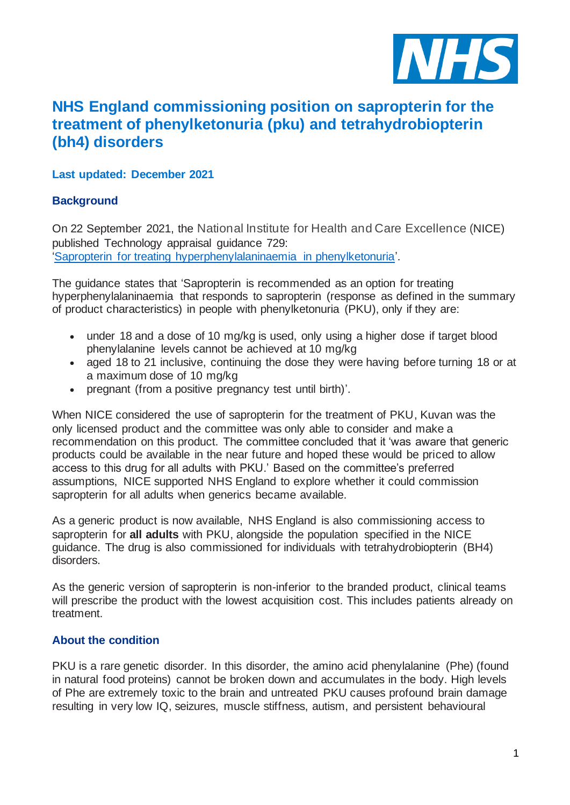

# **NHS England commissioning position on sapropterin for the treatment of phenylketonuria (pku) and tetrahydrobiopterin (bh4) disorders**

# **Last updated: December 2021**

# **Background**

On 22 September 2021, the National Institute for Health and Care Excellence (NICE) published Technology appraisal guidance 729: ['Sapropterin for treating hyperphenylalaninaemia in phenylketonuria'.](https://www.nice.org.uk/guidance/ta729/resources/sapropterin-for-treating-hyperphenylalaninaemia-in-phenylketonuria-pdf-82611202437061)

The guidance states that 'Sapropterin is recommended as an option for treating hyperphenylalaninaemia that responds to sapropterin (response as defined in the summary of product characteristics) in people with phenylketonuria (PKU), only if they are:

- under 18 and a dose of 10 mg/kg is used, only using a higher dose if target blood phenylalanine levels cannot be achieved at 10 mg/kg
- aged 18 to 21 inclusive, continuing the dose they were having before turning 18 or at a maximum dose of 10 mg/kg
- pregnant (from a positive pregnancy test until birth)'.

When NICE considered the use of sapropterin for the treatment of PKU, Kuvan was the only licensed product and the committee was only able to consider and make a recommendation on this product. The committee concluded that it 'was aware that generic products could be available in the near future and hoped these would be priced to allow access to this drug for all adults with PKU.' Based on the committee's preferred assumptions, NICE supported NHS England to explore whether it could commission sapropterin for all adults when generics became available.

As a generic product is now available, NHS England is also commissioning access to sapropterin for **all adults** with PKU, alongside the population specified in the NICE guidance. The drug is also commissioned for individuals with tetrahydrobiopterin (BH4) disorders.

As the generic version of sapropterin is non-inferior to the branded product, clinical teams will prescribe the product with the lowest acquisition cost. This includes patients already on treatment.

# **About the condition**

PKU is a rare genetic disorder. In this disorder, the amino acid phenylalanine (Phe) (found in natural food proteins) cannot be broken down and accumulates in the body. High levels of Phe are extremely toxic to the brain and untreated PKU causes profound brain damage resulting in very low IQ, seizures, muscle stiffness, autism, and persistent behavioural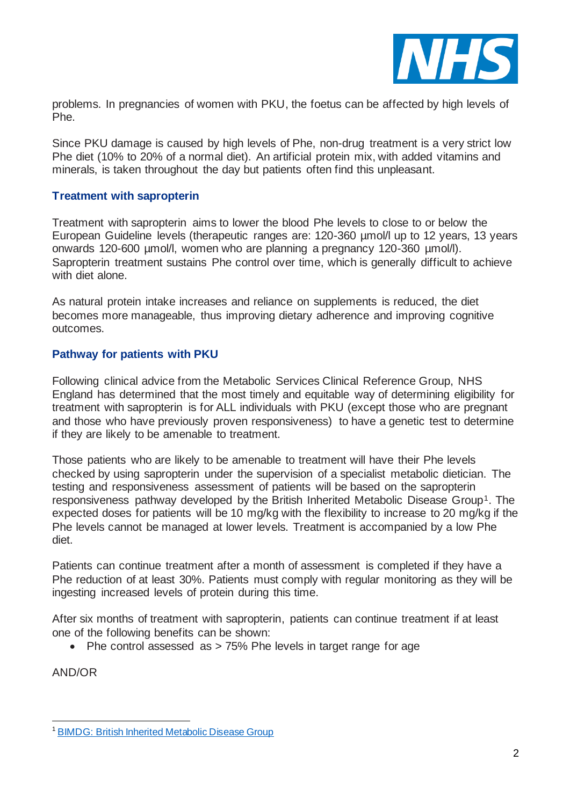

problems. In pregnancies of women with PKU, the foetus can be affected by high levels of Phe.

Since PKU damage is caused by high levels of Phe, non-drug treatment is a very strict low Phe diet (10% to 20% of a normal diet). An artificial protein mix, with added vitamins and minerals, is taken throughout the day but patients often find this unpleasant.

### **Treatment with sapropterin**

Treatment with sapropterin aims to lower the blood Phe levels to close to or below the European Guideline levels (therapeutic ranges are: 120-360 umol/l up to 12 years, 13 years onwards 120-600 µmol/l, women who are planning a pregnancy 120-360 µmol/l). Sapropterin treatment sustains Phe control over time, which is generally difficult to achieve with diet alone.

As natural protein intake increases and reliance on supplements is reduced, the diet becomes more manageable, thus improving dietary adherence and improving cognitive outcomes.

#### **Pathway for patients with PKU**

Following clinical advice from the Metabolic Services Clinical Reference Group, NHS England has determined that the most timely and equitable way of determining eligibility for treatment with sapropterin is for ALL individuals with PKU (except those who are pregnant and those who have previously proven responsiveness) to have a genetic test to determine if they are likely to be amenable to treatment.

Those patients who are likely to be amenable to treatment will have their Phe levels checked by using sapropterin under the supervision of a specialist metabolic dietician. The testing and responsiveness assessment of patients will be based on the sapropterin responsiveness pathway developed by the British Inherited Metabolic Disease Group<sup>1</sup>. The expected doses for patients will be 10 mg/kg with the flexibility to increase to 20 mg/kg if the Phe levels cannot be managed at lower levels. Treatment is accompanied by a low Phe diet.

Patients can continue treatment after a month of assessment is completed if they have a Phe reduction of at least 30%. Patients must comply with regular monitoring as they will be ingesting increased levels of protein during this time.

After six months of treatment with sapropterin, patients can continue treatment if at least one of the following benefits can be shown:

• Phe control assessed as > 75% Phe levels in target range for age

AND/OR

<sup>&</sup>lt;sup>1</sup> [BIMDG: British Inherited Metabolic Disease Group](https://bimdg.org.uk/site/index.asp)